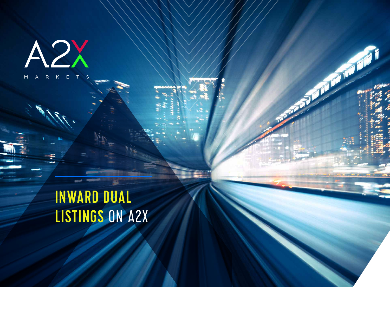A2X

# INWARD DUAL LISTINGS ON A2X

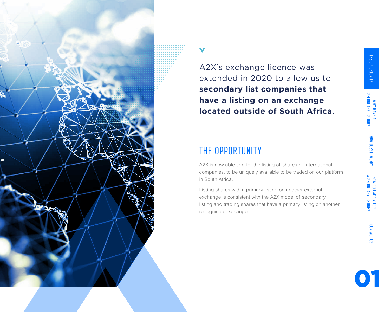

HOW DO I APPLY FOR<br>A SECONDARY LISTING?

## THE OPPORTUNITY

A2X is now able to offer the listing of shares of international companies, to be uniquely available to be traded on our platform in South Africa.

Listing shares with a primary listing on another external exchange is consistent with the A2X model of secondary listing and trading shares that have a primary listing on another recognised exchange.

CONTACT US CONTACT US



WHY HAVE A<br>SECONDARY LISTING?





A2X's exchange licence was extended in 2020 to allow us to **secondary list companies that have a listing on an exchange located outside of South Africa.**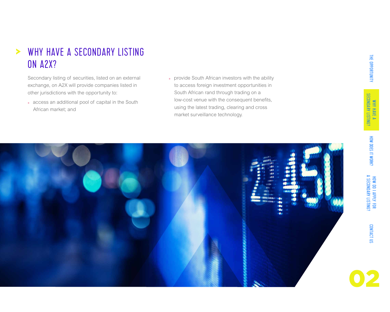

### WHY HAVE A SECONDARY LISTING  $\blacktriangleright$ ON A2X?

Secondary listing of securities, listed on an external exchange, on A2X will provide companies listed in other jurisdictions with the opportunity to:

- **»** access an additional pool of capital in the South African market; and
- **»** provide South African investors with the ability to access foreign investment opportunities in South African rand through trading on a low-cost venue with the consequent benefits, using the latest trading, clearing and cross market surveillance technology.











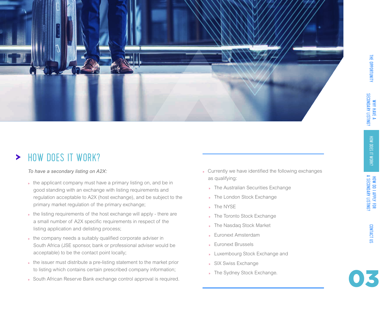



#### HOW DOES IT WORK?  $\blacktriangleright$

*To have a secondary listing on A2X:* 

- **»** the applicant company must have a primary listing on, and be in good standing with an exchange with listing requirements and regulation acceptable to A2X (host exchange), and be subject to the primary market regulation of the primary exchange;
- **»** the listing requirements of the host exchange will apply there are a small number of A2X specific requirements in respect of the listing application and delisting process;
- **»** the company needs a suitably qualified corporate adviser in South Africa (JSE sponsor, bank or professional adviser would be acceptable) to be the contact point locally;
- **»** the issuer must distribute a pre-listing statement to the market prior to listing which contains certain prescribed company information;
- **»** South African Reserve Bank exchange control approval is required.

CONTACT US CONTACT US

- **»** Currently we have identified the following exchanges as qualifying:
	- **»** The Australian Securities Exchange
	- **»** The London Stock Exchange
	- **»** The NYSE
	- **»** The Toronto Stock Exchange
	- **»** The Nasdaq Stock Market
	- **»** Euronext Amsterdam
	- **»** Euronext Brussels
	- **»** Luxembourg Stock Exchange and
	- **»** SIX Swiss Exchange
	- **»** The Sydney Stock Exchange.

THE OPPORTUNITY<br>The opportunity why have a secondary listing? THE OPPORTUNITY

WHY HAVE A<br>SECONDARY LISTING?

HOW DOES IT WORK?

HOW DO I APPLY FOR<br>A SECONDARY LISTING?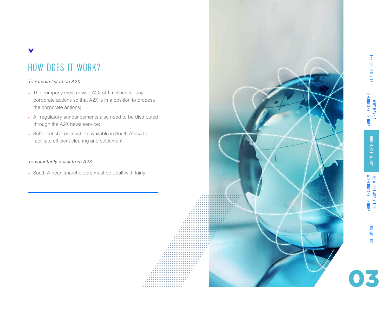

## HOW DOES IT WORK?

### *To remain listed on A2X:*

 $\blacktriangledown$ 

- **»** The company must advise A2X of timelines for any corporate actions so that A2X is in a position to process the corporate actions;
- **»** All regulatory announcements also need to be distributed through the A2X news service;
- **»** Sufficient shares must be available in South Africa to facilitate efficient clearing and settlement.

#### *To voluntarily delist from A2X:*

**»** South African shareholders must be dealt with fairly.

**\*\*\*\*\*\*\*\*\*\*\*\*\*** 





CONTACT US

CONTACT US

THE OPPORTUNITY<br>The opportunity why have a secondary listing? HOW DOES IT WORK?

WHY HAVE A<br>SECONDARY LISTING?

THE OPPORTUNITY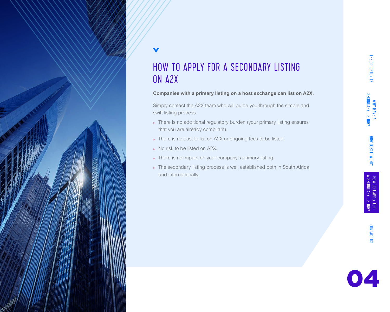



HOW TO APPLY FOR A SECONDARY LISTING ON A2X

### **Companies with a primary listing on a host exchange can list on A2X.**

Simply contact the A2X team who will guide you through the simple and swift listing process.

THE OPPORTUNITY THE OPPORTUNITY<br>The opportunity why have a secondary listing? WHY HAVE A<br>SECONDARY LISTING? HOW DOES IT WORK? HOW DO I APPLY FOR A SECONDARY LISTING?

- **»** There is no additional regulatory burden (your primary listing ensures that you are already compliant).
- **»** There is no cost to list on A2X or ongoing fees to be listed.
- **»** No risk to be listed on A2X.
- **»** There is no impact on your company's primary listing.
- **»** The secondary listing process is well established both in South Africa and internationally.